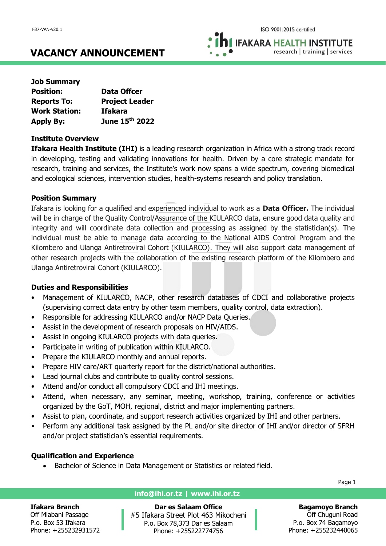**IFAKARA HEALTH INSTITUTE** research | training | services

# **VACANCY ANNOUNCEMENT**

| <b>Job Summary</b>   |                       |
|----------------------|-----------------------|
| <b>Position:</b>     | <b>Data Offcer</b>    |
| <b>Reports To:</b>   | <b>Project Leader</b> |
| <b>Work Station:</b> | <b>Ifakara</b>        |
| <b>Apply By:</b>     | June 15th 2022        |

### **Institute Overview**

**Ifakara Health Institute (IHI)** is a leading research organization in Africa with a strong track record in developing, testing and validating innovations for health. Driven by a core strategic mandate for research, training and services, the Institute's work now spans a wide spectrum, covering biomedical and ecological sciences, intervention studies, health-systems research and policy translation.

# **Position Summary**

Ifakara is looking for a qualified and experienced individual to work as a **Data Officer.** The individual will be in charge of the Quality Control/Assurance of the KIULARCO data, ensure good data quality and integrity and will coordinate data collection and processing as assigned by the statistician(s). The individual must be able to manage data according to the National AIDS Control Program and the Kilombero and Ulanga Antiretroviral Cohort (KIULARCO). They will also support data management of other research projects with the collaboration of the existing research platform of the Kilombero and Ulanga Antiretroviral Cohort (KIULARCO).

# **Duties and Responsibilities**

- Management of KIULARCO, NACP, other research databases of CDCI and collaborative projects (supervising correct data entry by other team members, quality control, data extraction).
- Responsible for addressing KIULARCO and/or NACP Data Queries.
- Assist in the development of research proposals on HIV/AIDS.
- Assist in ongoing KIULARCO projects with data queries.
- Participate in writing of publication within KIULARCO.
- Prepare the KIULARCO monthly and annual reports.
- Prepare HIV care/ART quarterly report for the district/national authorities.
- Lead journal clubs and contribute to quality control sessions.
- Attend and/or conduct all compulsory CDCI and IHI meetings.
- Attend, when necessary, any seminar, meeting, workshop, training, conference or activities organized by the GoT, MOH, regional, district and major implementing partners.
- Assist to plan, coordinate, and support research activities organized by IHI and other partners.
- Perform any additional task assigned by the PL and/or site director of IHI and/or director of SFRH and/or project statistician's essential requirements.

# **Qualification and Experience**

• Bachelor of Science in Data Management or Statistics or related field.

Page 1

### **Ifakara Branch**

Off Mlabani Passage P.o. Box 53 Ifakara Phone: +255232931572

# **info@ihi.or.tz | www.ihi.or.tz**

**Dar es Salaam Office** #5 Ifakara Street Plot 463 Mikocheni P.o. Box 78,373 Dar es Salaam Phone: +255222774756

# **Bagamoyo Branch**

Off Chuguni Road P.o. Box 74 Bagamoyo Phone: +255232440065